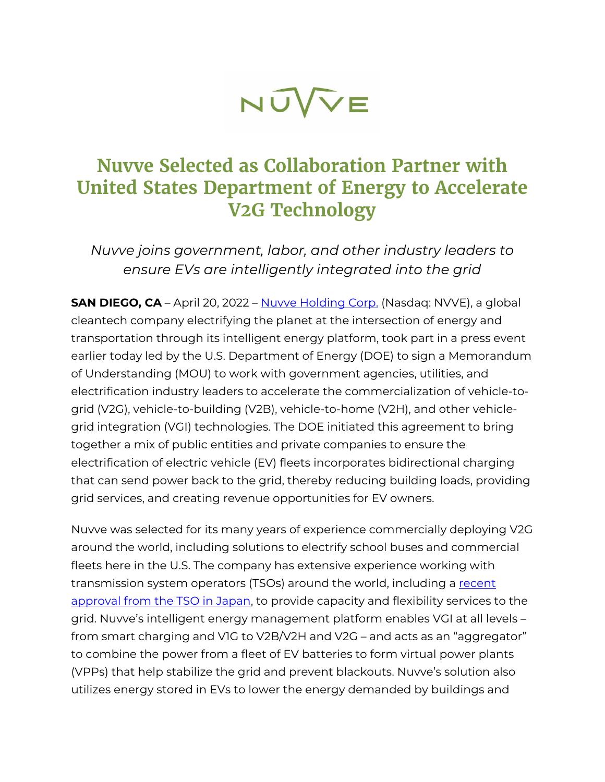

# **Nuvve Selected as Collaboration Partner with United States Department of Energy to Accelerate V2G Technology**

*Nuvve joins government, labor, and other industry leaders to ensure EVs are intelligently integrated into the grid*

**SAN DIEGO, CA** – April 20, 2022 – [Nuvve Holding Corp.](https://nuvve.com/) (Nasdaq: NVVE), a global cleantech company electrifying the planet at the intersection of energy and transportation through its intelligent energy platform, took part in a press event earlier today led by the U.S. Department of Energy (DOE) to sign a Memorandum of Understanding (MOU) to work with government agencies, utilities, and electrification industry leaders to accelerate the commercialization of vehicle-togrid (V2G), vehicle-to-building (V2B), vehicle-to-home (V2H), and other vehiclegrid integration (VGI) technologies. The DOE initiated this agreement to bring together a mix of public entities and private companies to ensure the electrification of electric vehicle (EV) fleets incorporates bidirectional charging that can send power back to the grid, thereby reducing building loads, providing grid services, and creating revenue opportunities for EV owners.

Nuvve was selected for its many years of experience commercially deploying V2G around the world, including solutions to electrify school buses and commercial fleets here in the U.S. The company has extensive experience working with transmission system operators (TSOs) around the world, including a recent approval from the TSO in Japan, to provide capacity and flexibility services to the grid. Nuvve's intelligent energy management platform enables VGI at all levels – from smart charging and V1G to V2B/V2H and V2G – and acts as an "aggregator" to combine the power from a fleet of EV batteries to form virtual power plants (VPPs) that help stabilize the grid and prevent blackouts. Nuvve's solution also utilizes energy stored in EVs to lower the energy demanded by buildings and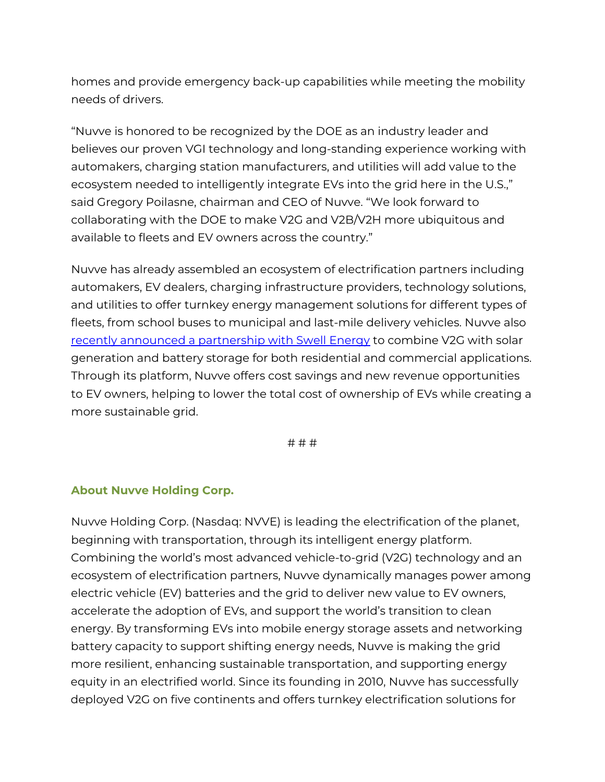homes and provide emergency back-up capabilities while meeting the mobility needs of drivers.

"Nuvve is honored to be recognized by the DOE as an industry leader and believes our proven VGI technology and long-standing experience working with automakers, charging station manufacturers, and utilities will add value to the ecosystem needed to intelligently integrate EVs into the grid here in the U.S.," said Gregory Poilasne, chairman and CEO of Nuvve. "We look forward to collaborating with the DOE to make V2G and V2B/V2H more ubiquitous and available to fleets and EV owners across the country."

Nuvve has already assembled an ecosystem of electrification partners including automakers, EV dealers, charging infrastructure providers, technology solutions, and utilities to offer turnkey energy management solutions for different types of fleets, from school buses to municipal and last-mile delivery vehicles. Nuvve also [recently announced a partnership with Swell Energy](https://nuvve.com/nuvve-and-swell-partner-on-residential-and-commercial/) to combine V2G with solar generation and battery storage for both residential and commercial applications. Through its platform, Nuvve offers cost savings and new revenue opportunities to EV owners, helping to lower the total cost of ownership of EVs while creating a more sustainable grid.

# # #

#### **About Nuvve Holding Corp.**

Nuvve Holding Corp. (Nasdaq: NVVE) is leading the electrification of the planet, beginning with transportation, through its intelligent energy platform. Combining the world's most advanced vehicle-to-grid (V2G) technology and an ecosystem of electrification partners, Nuvve dynamically manages power among electric vehicle (EV) batteries and the grid to deliver new value to EV owners, accelerate the adoption of EVs, and support the world's transition to clean energy. By transforming EVs into mobile energy storage assets and networking battery capacity to support shifting energy needs, Nuvve is making the grid more resilient, enhancing sustainable transportation, and supporting energy equity in an electrified world. Since its founding in 2010, Nuvve has successfully deployed V2G on five continents and offers turnkey electrification solutions for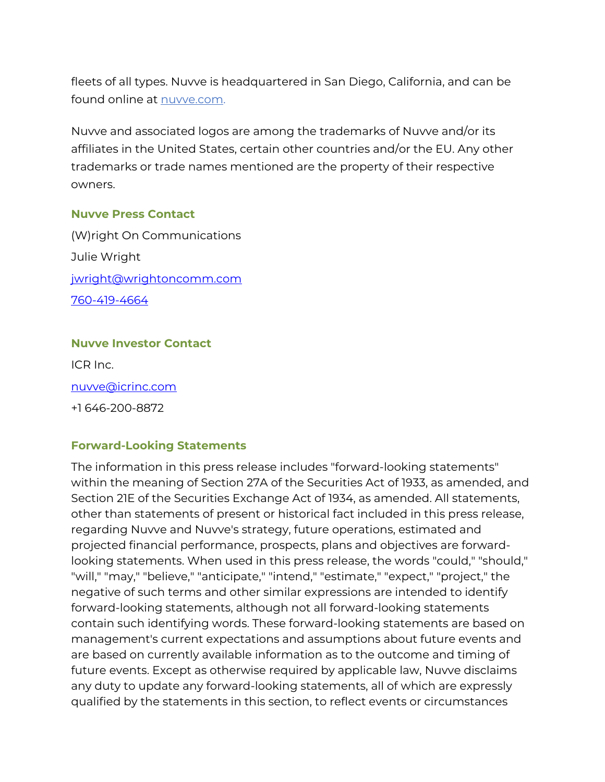fleets of all types. Nuvve is headquartered in San Diego, California, and can be found online at **nuvve.com**.

Nuvve and associated logos are among the trademarks of Nuvve and/or its affiliates in the United States, certain other countries and/or the EU. Any other trademarks or trade names mentioned are the property of their respective owners.

### **Nuvve Press Contact**

(W)right On Communications Julie Wright [jwright@wrightoncomm.com](mailto:jwright@wrightoncomm.com) [760-419-4664](tel:7604194664)

## **Nuvve Investor Contact**

ICR Inc. [nuvve@icrinc.com](mailto:nuvve@icrinc.com) 

+1 646-200-8872

## **Forward-Looking Statements**

The information in this press release includes "forward-looking statements" within the meaning of Section 27A of the Securities Act of 1933, as amended, and Section 21E of the Securities Exchange Act of 1934, as amended. All statements, other than statements of present or historical fact included in this press release, regarding Nuvve and Nuvve's strategy, future operations, estimated and projected financial performance, prospects, plans and objectives are forwardlooking statements. When used in this press release, the words "could," "should," "will," "may," "believe," "anticipate," "intend," "estimate," "expect," "project," the negative of such terms and other similar expressions are intended to identify forward-looking statements, although not all forward-looking statements contain such identifying words. These forward-looking statements are based on management's current expectations and assumptions about future events and are based on currently available information as to the outcome and timing of future events. Except as otherwise required by applicable law, Nuvve disclaims any duty to update any forward-looking statements, all of which are expressly qualified by the statements in this section, to reflect events or circumstances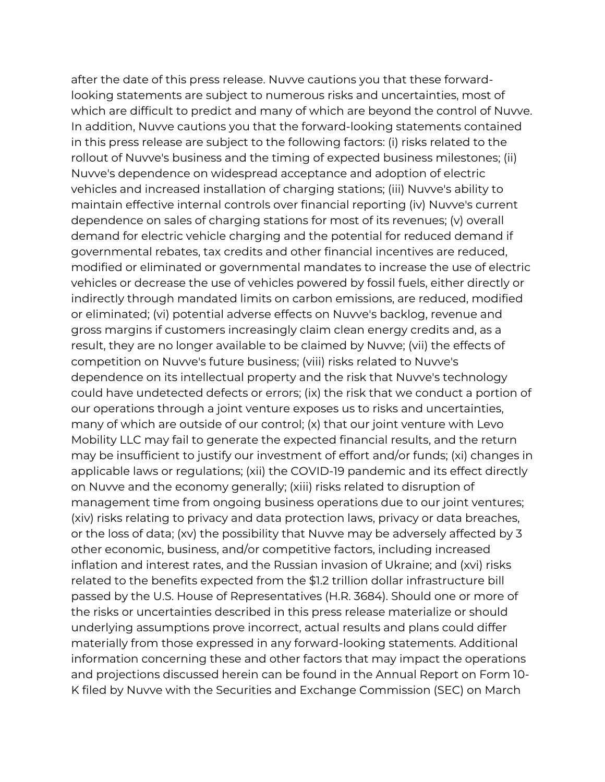after the date of this press release. Nuvve cautions you that these forwardlooking statements are subject to numerous risks and uncertainties, most of which are difficult to predict and many of which are beyond the control of Nuvve. In addition, Nuvve cautions you that the forward-looking statements contained in this press release are subject to the following factors: (i) risks related to the rollout of Nuvve's business and the timing of expected business milestones; (ii) Nuvve's dependence on widespread acceptance and adoption of electric vehicles and increased installation of charging stations; (iii) Nuvve's ability to maintain effective internal controls over financial reporting (iv) Nuvve's current dependence on sales of charging stations for most of its revenues; (v) overall demand for electric vehicle charging and the potential for reduced demand if governmental rebates, tax credits and other financial incentives are reduced, modified or eliminated or governmental mandates to increase the use of electric vehicles or decrease the use of vehicles powered by fossil fuels, either directly or indirectly through mandated limits on carbon emissions, are reduced, modified or eliminated; (vi) potential adverse effects on Nuvve's backlog, revenue and gross margins if customers increasingly claim clean energy credits and, as a result, they are no longer available to be claimed by Nuvve; (vii) the effects of competition on Nuvve's future business; (viii) risks related to Nuvve's dependence on its intellectual property and the risk that Nuvve's technology could have undetected defects or errors; (ix) the risk that we conduct a portion of our operations through a joint venture exposes us to risks and uncertainties, many of which are outside of our control; (x) that our joint venture with Levo Mobility LLC may fail to generate the expected financial results, and the return may be insufficient to justify our investment of effort and/or funds; (xi) changes in applicable laws or regulations; (xii) the COVID-19 pandemic and its effect directly on Nuvve and the economy generally; (xiii) risks related to disruption of management time from ongoing business operations due to our joint ventures; (xiv) risks relating to privacy and data protection laws, privacy or data breaches, or the loss of data; (xv) the possibility that Nuvve may be adversely affected by 3 other economic, business, and/or competitive factors, including increased inflation and interest rates, and the Russian invasion of Ukraine; and (xvi) risks related to the benefits expected from the \$1.2 trillion dollar infrastructure bill passed by the U.S. House of Representatives (H.R. 3684). Should one or more of the risks or uncertainties described in this press release materialize or should underlying assumptions prove incorrect, actual results and plans could differ materially from those expressed in any forward-looking statements. Additional information concerning these and other factors that may impact the operations and projections discussed herein can be found in the Annual Report on Form 10- K filed by Nuvve with the Securities and Exchange Commission (SEC) on March